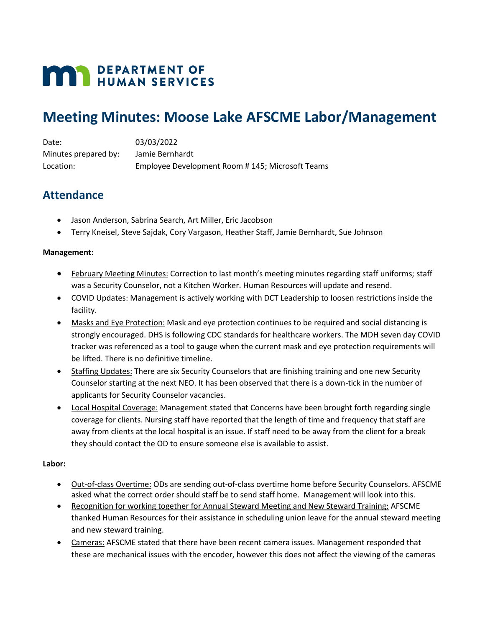# **MAN DEPARTMENT OF HUMAN SERVICES**

## **Meeting Minutes: Moose Lake AFSCME Labor/Management**

Date: 03/03/2022 Minutes prepared by: Jamie Bernhardt Location: Employee Development Room # 145; Microsoft Teams

## **Attendance**

- Jason Anderson, Sabrina Search, Art Miller, Eric Jacobson
- Terry Kneisel, Steve Sajdak, Cory Vargason, Heather Staff, Jamie Bernhardt, Sue Johnson

### **Management:**

- February Meeting Minutes: Correction to last month's meeting minutes regarding staff uniforms; staff was a Security Counselor, not a Kitchen Worker. Human Resources will update and resend.
- COVID Updates: Management is actively working with DCT Leadership to loosen restrictions inside the facility.
- Masks and Eye Protection: Mask and eye protection continues to be required and social distancing is strongly encouraged. DHS is following CDC standards for healthcare workers. The MDH seven day COVID tracker was referenced as a tool to gauge when the current mask and eye protection requirements will be lifted. There is no definitive timeline.
- Staffing Updates: There are six Security Counselors that are finishing training and one new Security Counselor starting at the next NEO. It has been observed that there is a down-tick in the number of applicants for Security Counselor vacancies.
- Local Hospital Coverage: Management stated that Concerns have been brought forth regarding single coverage for clients. Nursing staff have reported that the length of time and frequency that staff are away from clients at the local hospital is an issue. If staff need to be away from the client for a break they should contact the OD to ensure someone else is available to assist.

### **Labor:**

- Out-of-class Overtime: ODs are sending out-of-class overtime home before Security Counselors. AFSCME asked what the correct order should staff be to send staff home. Management will look into this.
- Recognition for working together for Annual Steward Meeting and New Steward Training: AFSCME thanked Human Resources for their assistance in scheduling union leave for the annual steward meeting and new steward training.
- Cameras: AFSCME stated that there have been recent camera issues. Management responded that these are mechanical issues with the encoder, however this does not affect the viewing of the cameras